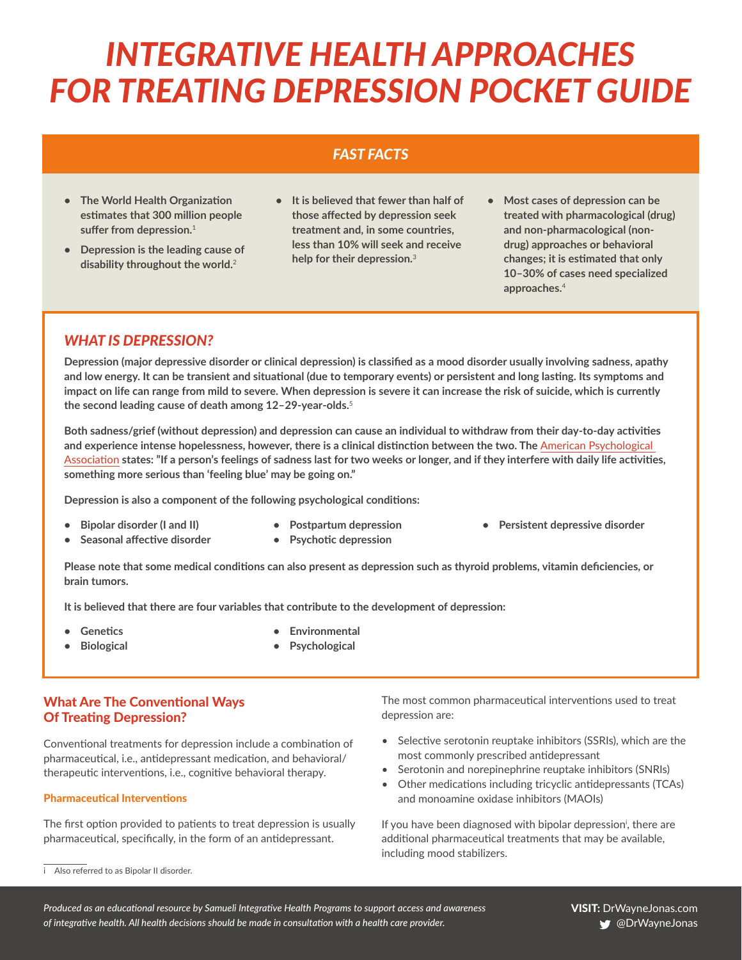# *INTEGRATIVE HEALTH APPROACHES FOR TREATING DEPRESSION POCKET GUIDE*

# *FAST FACTS*

- **• The World Health Organization estimates that 300 million people suffer from depression.**<sup>1</sup>
- **• Depression is the leading cause of disability throughout the world.**<sup>2</sup>
- **• It is believed that fewer than half of those affected by depression seek treatment and, in some countries, less than 10% will seek and receive help for their depression.**<sup>3</sup>
- **• Most cases of depression can be treated with pharmacological (drug) and non-pharmacological (nondrug) approaches or behavioral changes; it is estimated that only 10–30% of cases need specialized approaches.**<sup>4</sup>

# *WHAT IS DEPRESSION?*

**Depression (major depressive disorder or clinical depression) is classified as a mood disorder usually involving sadness, apathy and low energy. It can be transient and situational (due to temporary events) or persistent and long lasting. Its symptoms and impact on life can range from mild to severe. When depression is severe it can increase the risk of suicide, which is currently the second leading cause of death among 12–29-year-olds.**<sup>5</sup>

**Both sadness/grief (without depression) and depression can cause an individual to withdraw from their day-to-day activities and experience intense hopelessness, however, there is a clinical distinction between the two. The** [American Psychological](https://www.apa.org/topics/depression/recover.aspx)  [Association](https://www.apa.org/topics/depression/recover.aspx) **states: "If a person's feelings of sadness last for two weeks or longer, and if they interfere with daily life activities, something more serious than 'feeling blue' may be going on."**

**Depression is also a component of the following psychological conditions:**

- **• Bipolar disorder (I and II)**
- **• Seasonal affective disorder**
- **• Postpartum depression • Psychotic depression**
- **• Persistent depressive disorder**

**Please note that some medical conditions can also present as depression such as thyroid problems, vitamin deficiencies, or brain tumors.**

**It is believed that there are four variables that contribute to the development of depression:**

**• Genetics**

**• Environmental**

**• Biological** 

**• Psychological**

# What Are The Conventional Ways Of Treating Depression?

Conventional treatments for depression include a combination of pharmaceutical, i.e., antidepressant medication, and behavioral/ therapeutic interventions, i.e., cognitive behavioral therapy.

#### Pharmaceutical Interventions

The first option provided to patients to treat depression is usually pharmaceutical, specifically, in the form of an antidepressant.

The most common pharmaceutical interventions used to treat depression are:

- Selective serotonin reuptake inhibitors (SSRIs), which are the most commonly prescribed antidepressant
- Serotonin and norepinephrine reuptake inhibitors (SNRIs)
- Other medications including tricyclic antidepressants (TCAs) and monoamine oxidase inhibitors (MAOIs)

If you have been diagnosed with bipolar depression<sup>i</sup>, there are additional pharmaceutical treatments that may be available, including mood stabilizers.

*Produced as an educational resource by Samueli Integrative Health Programs to support access and awareness of integrative health. All health decisions should be made in consultation with a health care provider.*

i Also referred to as Bipolar II disorder.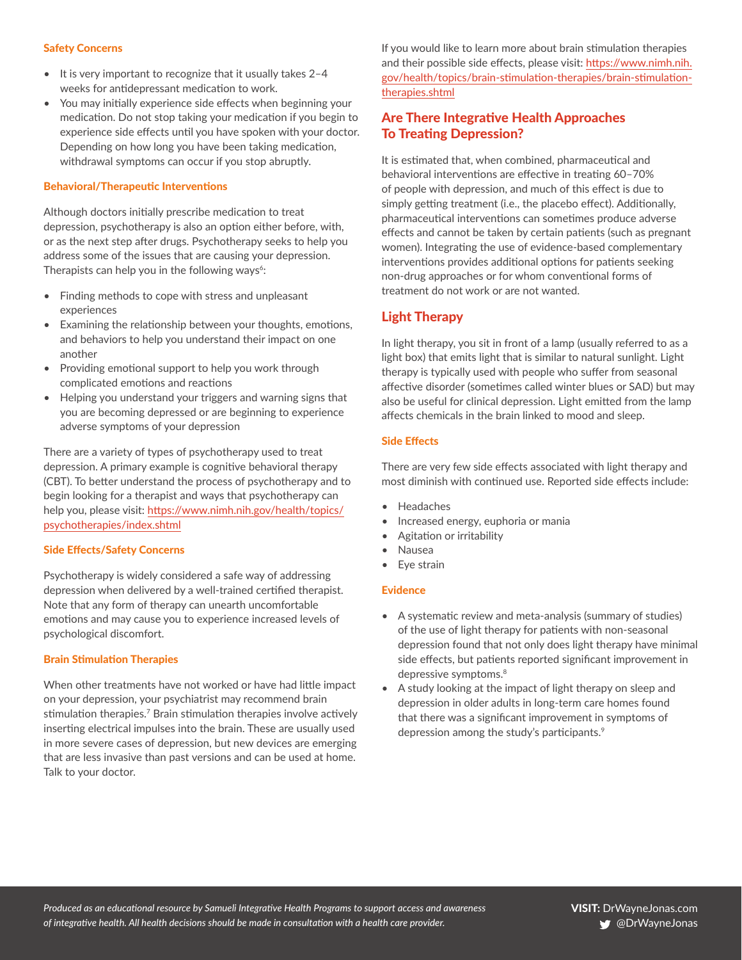#### Safety Concerns

- It is very important to recognize that it usually takes 2–4 weeks for antidepressant medication to work.
- You may initially experience side effects when beginning your medication. Do not stop taking your medication if you begin to experience side effects until you have spoken with your doctor. Depending on how long you have been taking medication, withdrawal symptoms can occur if you stop abruptly.

## Behavioral/Therapeutic Interventions

Although doctors initially prescribe medication to treat depression, psychotherapy is also an option either before, with, or as the next step after drugs. Psychotherapy seeks to help you address some of the issues that are causing your depression. Therapists can help you in the following ways<sup> $6$ </sup>:

- Finding methods to cope with stress and unpleasant experiences
- Examining the relationship between your thoughts, emotions, and behaviors to help you understand their impact on one another
- Providing emotional support to help you work through complicated emotions and reactions
- Helping you understand your triggers and warning signs that you are becoming depressed or are beginning to experience adverse symptoms of your depression

There are a variety of types of psychotherapy used to treat depression. A primary example is cognitive behavioral therapy (CBT). To better understand the process of psychotherapy and to begin looking for a therapist and ways that psychotherapy can help you, please visit: [https://www.nimh.nih.gov/health/topics/](https://www.nimh.nih.gov/health/topics/psychotherapies/index.shtml) [psychotherapies/index.shtml](https://www.nimh.nih.gov/health/topics/psychotherapies/index.shtml)

## Side Effects/Safety Concerns

Psychotherapy is widely considered a safe way of addressing depression when delivered by a well-trained certified therapist. Note that any form of therapy can unearth uncomfortable emotions and may cause you to experience increased levels of psychological discomfort.

#### Brain Stimulation Therapies

When other treatments have not worked or have had little impact on your depression, your psychiatrist may recommend brain stimulation therapies.<sup>7</sup> Brain stimulation therapies involve actively inserting electrical impulses into the brain. These are usually used in more severe cases of depression, but new devices are emerging that are less invasive than past versions and can be used at home. Talk to your doctor.

If you would like to learn more about brain stimulation therapies and their possible side effects, please visit: [https://www.nimh.nih.](https://www.nimh.nih.gov/health/topics/brain-stimulation-therapies/brain-stimulation-therapies.shtml) [gov/health/topics/brain-stimulation-therapies/brain-stimulation](https://www.nimh.nih.gov/health/topics/brain-stimulation-therapies/brain-stimulation-therapies.shtml)[therapies.shtml](https://www.nimh.nih.gov/health/topics/brain-stimulation-therapies/brain-stimulation-therapies.shtml)

# Are There Integrative Health Approaches To Treating Depression?

It is estimated that, when combined, pharmaceutical and behavioral interventions are effective in treating 60–70% of people with depression, and much of this effect is due to simply getting treatment (i.e., the placebo effect). Additionally, pharmaceutical interventions can sometimes produce adverse effects and cannot be taken by certain patients (such as pregnant women). Integrating the use of evidence-based complementary interventions provides additional options for patients seeking non-drug approaches or for whom conventional forms of treatment do not work or are not wanted.

# Light Therapy

In light therapy, you sit in front of a lamp (usually referred to as a light box) that emits light that is similar to natural sunlight. Light therapy is typically used with people who suffer from seasonal affective disorder (sometimes called winter blues or SAD) but may also be useful for clinical depression. Light emitted from the lamp affects chemicals in the brain linked to mood and sleep.

#### Side Effects

There are very few side effects associated with light therapy and most diminish with continued use. Reported side effects include:

- Headaches
- Increased energy, euphoria or mania
- Agitation or irritability
- Nausea
- Eye strain

## Evidence

- A systematic review and meta-analysis (summary of studies) of the use of light therapy for patients with non-seasonal depression found that not only does light therapy have minimal side effects, but patients reported significant improvement in depressive symptoms.<sup>8</sup>
- A study looking at the impact of light therapy on sleep and depression in older adults in long-term care homes found that there was a significant improvement in symptoms of depression among the study's participants.<sup>9</sup>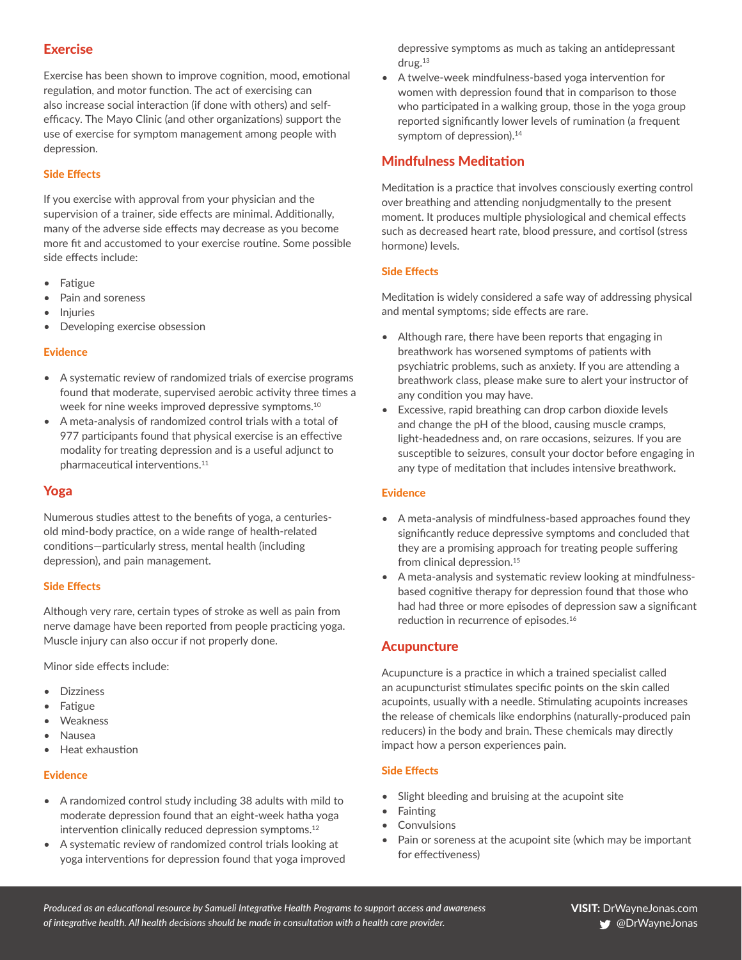# **Exercise**

Exercise has been shown to improve cognition, mood, emotional regulation, and motor function. The act of exercising can also increase social interaction (if done with others) and selfefficacy. The Mayo Clinic (and other organizations) support the use of exercise for symptom management among people with depression.

## Side Effects

If you exercise with approval from your physician and the supervision of a trainer, side effects are minimal. Additionally, many of the adverse side effects may decrease as you become more fit and accustomed to your exercise routine. Some possible side effects include:

- Fatigue
- Pain and soreness
- **Injuries**
- Developing exercise obsession

#### Evidence

- A systematic review of randomized trials of exercise programs found that moderate, supervised aerobic activity three times a week for nine weeks improved depressive symptoms.<sup>10</sup>
- A meta-analysis of randomized control trials with a total of 977 participants found that physical exercise is an effective modality for treating depression and is a useful adjunct to pharmaceutical interventions.<sup>11</sup>

# Yoga

Numerous studies attest to the benefits of yoga, a centuriesold mind-body practice, on a wide range of health-related conditions—particularly stress, mental health (including depression), and pain management.

#### Side Effects

Although very rare, certain types of stroke as well as pain from nerve damage have been reported from people practicing yoga. Muscle injury can also occur if not properly done.

Minor side effects include:

- **Dizziness**
- **Fatigue**
- **Weakness**
- Nausea
- Heat exhaustion

#### Evidence

- A randomized control study including 38 adults with mild to moderate depression found that an eight-week hatha yoga intervention clinically reduced depression symptoms.<sup>12</sup>
- A systematic review of randomized control trials looking at yoga interventions for depression found that yoga improved

depressive symptoms as much as taking an antidepressant drug.<sup>13</sup>

• A twelve-week mindfulness-based yoga intervention for women with depression found that in comparison to those who participated in a walking group, those in the yoga group reported significantly lower levels of rumination (a frequent symptom of depression).<sup>14</sup>

# Mindfulness Meditation

Meditation is a practice that involves consciously exerting control over breathing and attending nonjudgmentally to the present moment. It produces multiple physiological and chemical effects such as decreased heart rate, blood pressure, and cortisol (stress hormone) levels.

## Side Effects

Meditation is widely considered a safe way of addressing physical and mental symptoms; side effects are rare.

- Although rare, there have been reports that engaging in breathwork has worsened symptoms of patients with psychiatric problems, such as anxiety. If you are attending a breathwork class, please make sure to alert your instructor of any condition you may have.
- Excessive, rapid breathing can drop carbon dioxide levels and change the pH of the blood, causing muscle cramps, light-headedness and, on rare occasions, seizures. If you are susceptible to seizures, consult your doctor before engaging in any type of meditation that includes intensive breathwork.

## Evidence

- A meta-analysis of mindfulness-based approaches found they significantly reduce depressive symptoms and concluded that they are a promising approach for treating people suffering from clinical depression.<sup>15</sup>
- A meta-analysis and systematic review looking at mindfulnessbased cognitive therapy for depression found that those who had had three or more episodes of depression saw a significant reduction in recurrence of episodes.<sup>16</sup>

## Acupuncture

Acupuncture is a practice in which a trained specialist called an acupuncturist stimulates specific points on the skin called acupoints, usually with a needle. Stimulating acupoints increases the release of chemicals like endorphins (naturally-produced pain reducers) in the body and brain. These chemicals may directly impact how a person experiences pain.

## Side Effects

- Slight bleeding and bruising at the acupoint site
- **Fainting**
- **Convulsions**
- Pain or soreness at the acupoint site (which may be important for effectiveness)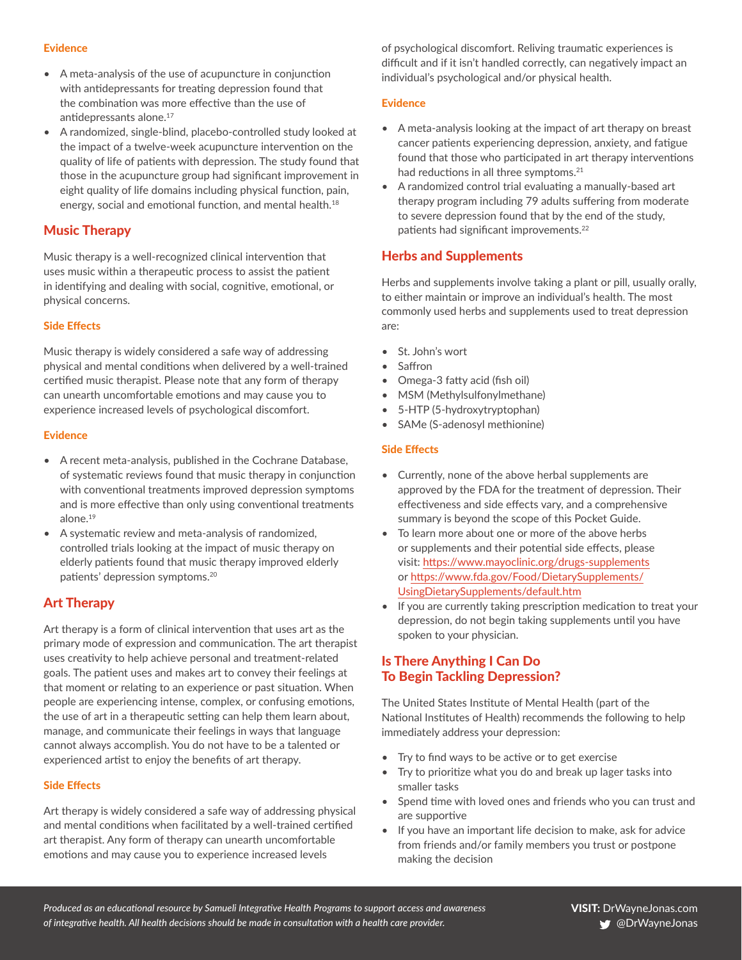#### Evidence

- A meta-analysis of the use of acupuncture in conjunction with antidepressants for treating depression found that the combination was more effective than the use of antidepressants alone.<sup>17</sup>
- A randomized, single-blind, placebo-controlled study looked at the impact of a twelve-week acupuncture intervention on the quality of life of patients with depression. The study found that those in the acupuncture group had significant improvement in eight quality of life domains including physical function, pain, energy, social and emotional function, and mental health.<sup>18</sup>

# Music Therapy

Music therapy is a well-recognized clinical intervention that uses music within a therapeutic process to assist the patient in identifying and dealing with social, cognitive, emotional, or physical concerns.

#### Side Effects

Music therapy is widely considered a safe way of addressing physical and mental conditions when delivered by a well-trained certified music therapist. Please note that any form of therapy can unearth uncomfortable emotions and may cause you to experience increased levels of psychological discomfort.

#### Evidence

- A recent meta-analysis, published in the Cochrane Database, of systematic reviews found that music therapy in conjunction with conventional treatments improved depression symptoms and is more effective than only using conventional treatments alone.19
- A systematic review and meta‐analysis of randomized, controlled trials looking at the impact of music therapy on elderly patients found that music therapy improved elderly patients' depression symptoms.20

# Art Therapy

Art therapy is a form of clinical intervention that uses art as the primary mode of expression and communication. The art therapist uses creativity to help achieve personal and treatment-related goals. The patient uses and makes art to convey their feelings at that moment or relating to an experience or past situation. When people are experiencing intense, complex, or confusing emotions, the use of art in a therapeutic setting can help them learn about, manage, and communicate their feelings in ways that language cannot always accomplish. You do not have to be a talented or experienced artist to enjoy the benefits of art therapy.

#### Side Effects

Art therapy is widely considered a safe way of addressing physical and mental conditions when facilitated by a well-trained certified art therapist. Any form of therapy can unearth uncomfortable emotions and may cause you to experience increased levels

of psychological discomfort. Reliving traumatic experiences is difficult and if it isn't handled correctly, can negatively impact an individual's psychological and/or physical health.

#### Evidence

- A meta-analysis looking at the impact of art therapy on breast cancer patients experiencing depression, anxiety, and fatigue found that those who participated in art therapy interventions had reductions in all three symptoms.<sup>21</sup>
- A randomized control trial evaluating a manually-based art therapy program including 79 adults suffering from moderate to severe depression found that by the end of the study, patients had significant improvements.<sup>22</sup>

# Herbs and Supplements

Herbs and supplements involve taking a plant or pill, usually orally, to either maintain or improve an individual's health. The most commonly used herbs and supplements used to treat depression are:

- St. John's wort
- Saffron
- Omega-3 fatty acid (fish oil)
- MSM (Methylsulfonylmethane)
- 5-HTP (5-hydroxytryptophan)
- SAMe (S-adenosyl methionine)

#### Side Effects

- Currently, none of the above herbal supplements are approved by the FDA for the treatment of depression. Their effectiveness and side effects vary, and a comprehensive summary is beyond the scope of this Pocket Guide.
- To learn more about one or more of the above herbs or supplements and their potential side effects, please visit:<https://www.mayoclinic.org/drugs-supplements> or [https://www.fda.gov/Food/DietarySupplements/](https://www.fda.gov/Food/DietarySupplements/UsingDietarySupplements/default.htm) [UsingDietarySupplements/default.htm](https://www.fda.gov/Food/DietarySupplements/UsingDietarySupplements/default.htm)
- If you are currently taking prescription medication to treat your depression, do not begin taking supplements until you have spoken to your physician.

# Is There Anything I Can Do To Begin Tackling Depression?

The United States Institute of Mental Health (part of the National Institutes of Health) recommends the following to help immediately address your depression:

- Try to find ways to be active or to get exercise
- Try to prioritize what you do and break up lager tasks into smaller tasks
- Spend time with loved ones and friends who you can trust and are supportive
- If you have an important life decision to make, ask for advice from friends and/or family members you trust or postpone making the decision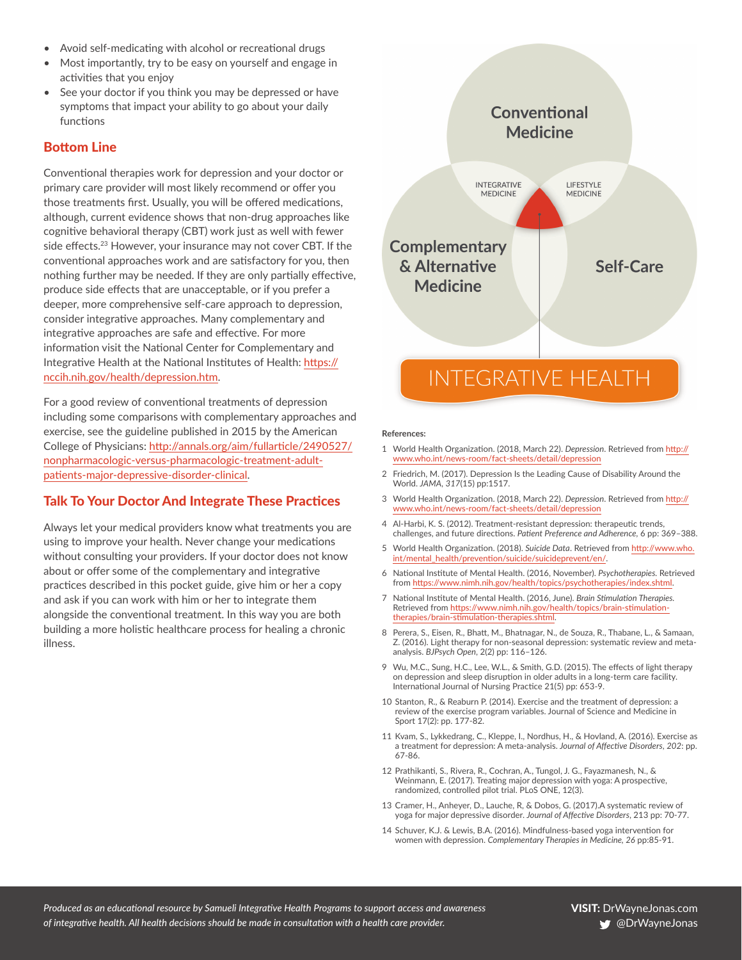- Avoid self-medicating with alcohol or recreational drugs
- Most importantly, try to be easy on yourself and engage in activities that you enjoy
- See your doctor if you think you may be depressed or have symptoms that impact your ability to go about your daily functions

# Bottom Line

Conventional therapies work for depression and your doctor or primary care provider will most likely recommend or offer you those treatments first. Usually, you will be offered medications, although, current evidence shows that non-drug approaches like cognitive behavioral therapy (CBT) work just as well with fewer side effects.<sup>23</sup> However, your insurance may not cover CBT. If the conventional approaches work and are satisfactory for you, then nothing further may be needed. If they are only partially effective, produce side effects that are unacceptable, or if you prefer a deeper, more comprehensive self-care approach to depression, consider integrative approaches. Many complementary and integrative approaches are safe and effective. For more information visit the National Center for Complementary and Integrative Health at the National Institutes of Health: [https://](https://nccih.nih.gov/health/depression.htm) [nccih.nih.gov/health/depression.htm](https://nccih.nih.gov/health/depression.htm).

For a good review of conventional treatments of depression including some comparisons with complementary approaches and exercise, see the guideline published in 2015 by the American College of Physicians: [http://annals.org/aim/fullarticle/2490527/](http://annals.org/aim/fullarticle/2490527/nonpharmacologic-versus-pharmacologic-treatment-adult-patients-major-depressive-disorder-clinical) [nonpharmacologic-versus-pharmacologic-treatment-adult](http://annals.org/aim/fullarticle/2490527/nonpharmacologic-versus-pharmacologic-treatment-adult-patients-major-depressive-disorder-clinical)[patients-major-depressive-disorder-clinical](http://annals.org/aim/fullarticle/2490527/nonpharmacologic-versus-pharmacologic-treatment-adult-patients-major-depressive-disorder-clinical).

# Talk To Your Doctor And Integrate These Practices

Always let your medical providers know what treatments you are using to improve your health. Never change your medications without consulting your providers. If your doctor does not know about or offer some of the complementary and integrative practices described in this pocket guide, give him or her a copy and ask if you can work with him or her to integrate them alongside the conventional treatment. In this way you are both building a more holistic healthcare process for healing a chronic illness.



#### **References:**

- 1 World Health Organization. (2018, March 22). *Depression*. Retrieved from [http://](http://www.who.int/news-room/fact-sheets/detail/depression) [www.who.int/news-room/fact-sheets/detail/depression](http://www.who.int/news-room/fact-sheets/detail/depression)
- 2 Friedrich, M. (2017). Depression Is the Leading Cause of Disability Around the World. *JAMA*, *317*(15) pp:1517.
- 3 World Health Organization. (2018, March 22). *Depression*. Retrieved from [http://](http://www.who.int/news-room/fact-sheets/detail/depression) [www.who.int/news-room/fact-sheets/detail/depression](http://www.who.int/news-room/fact-sheets/detail/depression)
- 4 Al-Harbi, K. S. (2012). Treatment-resistant depression: therapeutic trends, challenges, and future directions. *Patient Preference and Adherence,* 6 pp: 369–388.
- 5 World Health Organization. (2018). *Suicide Data*. Retrieved from [http://www.who.](http://www.who.int/mental_health/prevention/suicide/suicideprevent/en/) [int/mental\\_health/prevention/suicide/suicideprevent/en/](http://www.who.int/mental_health/prevention/suicide/suicideprevent/en/).
- 6 National Institute of Mental Health. (2016, November). *Psychotherapies.* Retrieved from <https://www.nimh.nih.gov/health/topics/psychotherapies/index.shtml>.
- 7 National Institute of Mental Health. (2016, June). *Brain Stimulation Therapies.*  Retrieved from [https://www.nimh.nih.gov/health/topics/brain-stimulation](https://www.nimh.nih.gov/health/topics/brain-stimulation-therapies/brain-stimulation-therapies.shtml)[therapies/brain-stimulation-therapies.shtml](https://www.nimh.nih.gov/health/topics/brain-stimulation-therapies/brain-stimulation-therapies.shtml).
- 8 Perera, S., Eisen, R., Bhatt, M., Bhatnagar, N., de Souza, R., Thabane, L., & Samaan, Z. (2016). Light therapy for non-seasonal depression: systematic review and metaanalysis. *BJPsych Open*, 2(2) pp: 116–126.
- 9 Wu, M.C., Sung, H.C., Lee, W.L., & Smith, G.D. (2015). The effects of light therapy on depression and sleep disruption in older adults in a long-term care facility. International Journal of Nursing Practice 21(5) pp: 653-9.
- 10 Stanton, R., & Reaburn P. (2014). Exercise and the treatment of depression: a review of the exercise program variables. Journal of Science and Medicine in Sport 17(2): pp. 177-82.
- 11 Kvam, S., Lykkedrang, C., Kleppe, I., Nordhus, H., & Hovland, A. (2016). Exercise as a treatment for depression: A meta-analysis. *Journal of Affective Disorders*, *202*: pp. 67-86.
- 12 Prathikanti, S., Rivera, R., Cochran, A., Tungol, J. G., Fayazmanesh, N., & Weinmann, E. (2017). Treating major depression with yoga: A prospective, randomized, controlled pilot trial. PLoS ONE, 12(3).
- 13 Cramer, H., Anheyer, D., Lauche, R, & Dobos, G. (2017).A systematic review of yoga for major depressive disorder. *Journal of Affective Disorders*, 213 pp: 70-77.
- 14 Schuver, K.J. & Lewis, B.A. (2016). Mindfulness-based yoga intervention for women with depression. *Complementary Therapies in Medicine, 26* pp:85-91.